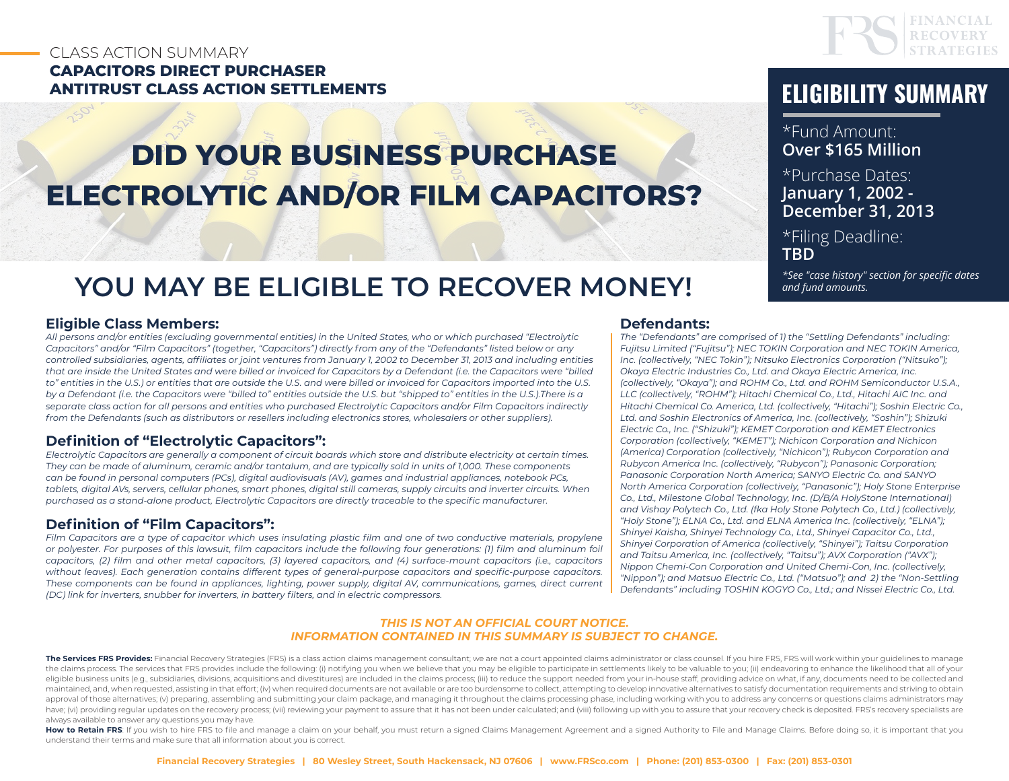### CLASS ACTION SUMMARY **CAPACITORS DIRECT PURCHASER ANTITRUST CLASS ACTION SETTLEMENTS ELIGIBILITY SUMMARY**

# **DID YOUR BUSINESS PURCHASE ELECTROLYTIC AND/OR FILM CAPACITORS?**

# **YOU MAY BE ELIGIBLE TO RECOVER MONEY!**

#### **Eligible Class Members:**

*All persons and/or entities (excluding governmental entities) in the United States, who or which purchased "Electrolytic Capacitors" and/or "Film Capacitors" (together, "Capacitors") directly from any of the "Defendants" listed below or any controlled subsidiaries, agents, affiliates or joint ventures from January 1, 2002 to December 31, 2013 and including entities that are inside the United States and were billed or invoiced for Capacitors by a Defendant (i.e. the Capacitors were "billed to" entities in the U.S.) or entities that are outside the U.S. and were billed or invoiced for Capacitors imported into the U.S. by a Defendant (i.e. the Capacitors were "billed to" entities outside the U.S. but "shipped to" entities in the U.S.).There is a separate class action for all persons and entities who purchased Electrolytic Capacitors and/or Film Capacitors indirectly from the Defendants (such as distributors or resellers including electronics stores, wholesalers or other suppliers).* 

#### **Definition of "Electrolytic Capacitors":**

*Electrolytic Capacitors are generally a component of circuit boards which store and distribute electricity at certain times. They can be made of aluminum, ceramic and/or tantalum, and are typically sold in units of 1,000. These components can be found in personal computers (PCs), digital audiovisuals (AV), games and industrial appliances, notebook PCs, tablets, digital AVs, servers, cellular phones, smart phones, digital still cameras, supply circuits and inverter circuits. When purchased as a stand-alone product, Electrolytic Capacitors are directly traceable to the specific manufacturer.*

#### **Definition of "Film Capacitors":**

*Film Capacitors are a type of capacitor which uses insulating plastic film and one of two conductive materials, propylene or polyester. For purposes of this lawsuit, film capacitors include the following four generations: (1) film and aluminum foil capacitors, (2) film and other metal capacitors, (3) layered capacitors, and (4) surface-mount capacitors (i.e., capacitors without leaves). Each generation contains different types of general-purpose capacitors and specific-purpose capacitors. These components can be found in appliances, lighting, power supply, digital AV, communications, games, direct current (DC) link for inverters, snubber for inverters, in battery filters, and in electric compressors.*

#### **Defendants:**

*The "Defendants" are comprised of 1) the "Settling Defendants" including: Fujitsu Limited ("Fujitsu"); NEC TOKIN Corporation and NEC TOKIN America, Inc. (collectively, "NEC Tokin"); Nitsuko Electronics Corporation ("Nitsuko"); Okaya Electric Industries Co., Ltd. and Okaya Electric America, Inc. (collectively, "Okaya"); and ROHM Co., Ltd. and ROHM Semiconductor U.S.A., LLC (collectively, "ROHM"); Hitachi Chemical Co., Ltd., Hitachi AIC Inc. and Hitachi Chemical Co. America, Ltd. (collectively, "Hitachi"); Soshin Electric Co., Ltd. and Soshin Electronics of America, Inc. (collectively, "Soshin"); Shizuki Electric Co., Inc. ("Shizuki"); KEMET Corporation and KEMET Electronics Corporation (collectively, "KEMET"); Nichicon Corporation and Nichicon (America) Corporation (collectively, "Nichicon"); Rubycon Corporation and Rubycon America Inc. (collectively, "Rubycon"); Panasonic Corporation; Panasonic Corporation North America; SANYO Electric Co. and SANYO North America Corporation (collectively, "Panasonic"); Holy Stone Enterprise Co., Ltd., Milestone Global Technology, Inc. (D/B/A HolyStone International) and Vishay Polytech Co., Ltd. (fka Holy Stone Polytech Co., Ltd.) (collectively, "Holy Stone"); ELNA Co., Ltd. and ELNA America Inc. (collectively, "ELNA"); Shinyei Kaisha, Shinyei Technology Co., Ltd., Shinyei Capacitor Co., Ltd., Shinyei Corporation of America (collectively, "Shinyei"); Taitsu Corporation and Taitsu America, Inc. (collectively, "Taitsu"); AVX Corporation ("AVX"); Nippon Chemi-Con Corporation and United Chemi-Con, Inc. (collectively, "Nippon"); and Matsuo Electric Co., Ltd. ("Matsuo"); and 2) the "Non-Settling Defendants" including TOSHIN KOGYO Co., Ltd.; and Nissei Electric Co., Ltd.*

#### *THIS IS NOT AN OFFICIAL COURT NOTICE. INFORMATION CONTAINED IN THIS SUMMARY IS SUBJECT TO CHANGE.*

The Services FRS Provides: Financial Recovery Strategies (FRS) is a class action claims management consultant; we are not a court appointed claims administrator or class counsel. If you hire FRS, FRS will work within your the claims process. The services that FRS provides include the following: (i) notifying you when we believe that you may be eligible to participate in settlements likely to be valuable to you; (ii) endeavoring to enhance t eligible business units (e.a., subsidiaries, divisions, acquisitions and divestitures) are included in the claims process; (iii) to reduce the support needed from your in-house staff, providing advice on what, if any, docu maintained, and, when requested, assisting in that effort; (iv) when required documents are not available or are too burdensome to collect, attempting to develop innovative alternatives to satisfy documentation requirement approval of those alternatives; (v) preparing, assembling and submitting your claim package, and managing it throughout the claims processing phase, including working with you to address any concerns or questions claims ad have; (vi) providing regular updates on the recovery process; (vii) reviewing your payment to assure that it has not been under calculated; and (viii) following up with you to assure that your recovery check is deposited. always available to answer any questions you may have.

How to Retain FRS: If you wish to hire FRS to file and manage a claim on your behalf, you must return a signed Claims Management Agreement and a signed Authority to File and Manage Claims. Before doing so, it is important understand their terms and make sure that all information about you is correct.



\*Fund Amount: **Over \$165 Million**

\*Purchase Dates: **January 1, 2002 - December 31, 2013**

\*Filing Deadline: **TBD**

*\*See "case history" section for specific dates and fund amounts.*